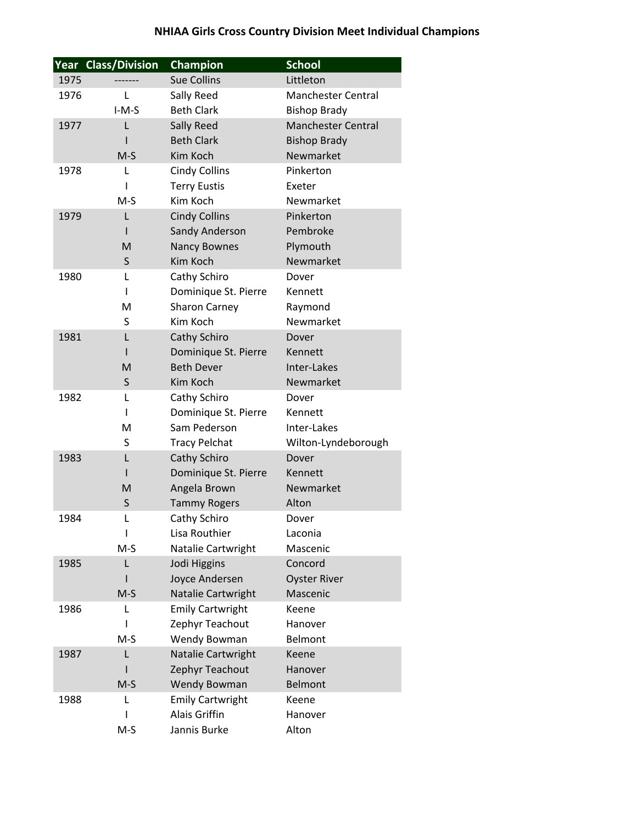|      | <b>Year Class/Division</b> | Champion                | <b>School</b>             |
|------|----------------------------|-------------------------|---------------------------|
| 1975 |                            | <b>Sue Collins</b>      | Littleton                 |
| 1976 | L                          | Sally Reed              | <b>Manchester Central</b> |
|      | $I-M-S$                    | <b>Beth Clark</b>       | <b>Bishop Brady</b>       |
| 1977 | L                          | <b>Sally Reed</b>       | <b>Manchester Central</b> |
|      |                            | <b>Beth Clark</b>       | <b>Bishop Brady</b>       |
|      | $M-S$                      | Kim Koch                | Newmarket                 |
| 1978 | L                          | <b>Cindy Collins</b>    | Pinkerton                 |
|      |                            | <b>Terry Eustis</b>     | Exeter                    |
|      | $M-S$                      | Kim Koch                | Newmarket                 |
| 1979 | L                          | <b>Cindy Collins</b>    | Pinkerton                 |
|      | ı                          | Sandy Anderson          | Pembroke                  |
|      | M                          | <b>Nancy Bownes</b>     | Plymouth                  |
|      | S                          | Kim Koch                | Newmarket                 |
| 1980 | L                          | Cathy Schiro            | Dover                     |
|      | I                          | Dominique St. Pierre    | Kennett                   |
|      | M                          | <b>Sharon Carney</b>    | Raymond                   |
|      | S                          | Kim Koch                | Newmarket                 |
| 1981 | L                          | Cathy Schiro            | Dover                     |
|      |                            | Dominique St. Pierre    | Kennett                   |
|      | M                          | <b>Beth Dever</b>       | Inter-Lakes               |
|      | S                          | Kim Koch                | Newmarket                 |
| 1982 | L                          | Cathy Schiro            | Dover                     |
|      | I                          | Dominique St. Pierre    | Kennett                   |
|      | M                          | Sam Pederson            | Inter-Lakes               |
|      | S                          | <b>Tracy Pelchat</b>    | Wilton-Lyndeborough       |
| 1983 | L                          | Cathy Schiro            | Dover                     |
|      |                            | Dominique St. Pierre    | Kennett                   |
|      | м                          | Angela Brown            | Newmarket                 |
|      | $\sf S$                    | <b>Tammy Rogers</b>     | Alton                     |
| 1984 |                            | Cathy Schiro            | Dover                     |
|      | ı                          | Lisa Routhier           | Laconia                   |
|      | $M-S$                      | Natalie Cartwright      | Mascenic                  |
| 1985 | L                          | Jodi Higgins            | Concord                   |
|      |                            | Joyce Andersen          | <b>Oyster River</b>       |
|      | $M-S$                      | Natalie Cartwright      | Mascenic                  |
| 1986 | L                          | <b>Emily Cartwright</b> | Keene                     |
|      |                            | Zephyr Teachout         | Hanover                   |
|      | $M-S$                      | Wendy Bowman            | Belmont                   |
| 1987 | L                          | Natalie Cartwright      | Keene                     |
|      |                            | Zephyr Teachout         | Hanover                   |
|      | $M-S$                      | <b>Wendy Bowman</b>     | Belmont                   |
| 1988 | L                          | <b>Emily Cartwright</b> | Keene                     |
|      |                            | Alais Griffin           | Hanover                   |
|      | $M-S$                      | Jannis Burke            | Alton                     |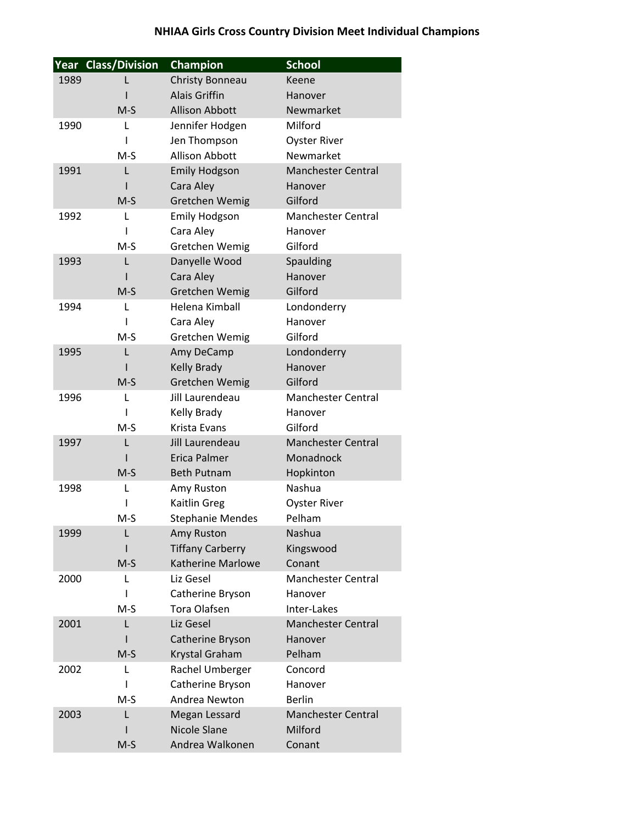|      | Year Class/Division | <b>Champion</b>          | <b>School</b>             |
|------|---------------------|--------------------------|---------------------------|
| 1989 |                     | Christy Bonneau          | Keene                     |
|      |                     | <b>Alais Griffin</b>     | Hanover                   |
|      | $M-S$               | <b>Allison Abbott</b>    | Newmarket                 |
| 1990 | L                   | Jennifer Hodgen          | Milford                   |
|      | ı                   | Jen Thompson             | <b>Oyster River</b>       |
|      | $M-S$               | <b>Allison Abbott</b>    | Newmarket                 |
| 1991 | L                   | <b>Emily Hodgson</b>     | <b>Manchester Central</b> |
|      |                     | Cara Aley                | Hanover                   |
|      | $M-S$               | <b>Gretchen Wemig</b>    | Gilford                   |
| 1992 | L                   | <b>Emily Hodgson</b>     | <b>Manchester Central</b> |
|      |                     | Cara Aley                | Hanover                   |
|      | $M-S$               | Gretchen Wemig           | Gilford                   |
| 1993 | L                   | Danyelle Wood            | Spaulding                 |
|      |                     | Cara Aley                | Hanover                   |
|      | $M-S$               | <b>Gretchen Wemig</b>    | Gilford                   |
| 1994 | L                   | Helena Kimball           | Londonderry               |
|      |                     | Cara Aley                | Hanover                   |
|      | $M-S$               | Gretchen Wemig           | Gilford                   |
| 1995 | L                   | Amy DeCamp               | Londonderry               |
|      |                     | <b>Kelly Brady</b>       | Hanover                   |
|      | $M-S$               | <b>Gretchen Wemig</b>    | Gilford                   |
| 1996 | L                   | Jill Laurendeau          | <b>Manchester Central</b> |
|      |                     | Kelly Brady              | Hanover                   |
|      | $M-S$               | Krista Evans             | Gilford                   |
| 1997 | L                   | Jill Laurendeau          | <b>Manchester Central</b> |
|      |                     | Erica Palmer             | Monadnock                 |
|      | $M-S$               | <b>Beth Putnam</b>       | Hopkinton                 |
| 1998 | L                   | Amy Ruston               | Nashua                    |
|      |                     | <b>Kaitlin Greg</b>      | <b>Oyster River</b>       |
|      | $M-S$               | <b>Stephanie Mendes</b>  | Pelham                    |
| 1999 | L                   | Amy Ruston               | Nashua                    |
|      |                     | <b>Tiffany Carberry</b>  | Kingswood                 |
|      | $M-S$               | <b>Katherine Marlowe</b> | Conant                    |
| 2000 | L                   | Liz Gesel                | Manchester Central        |
|      |                     | Catherine Bryson         | Hanover                   |
|      | M-S                 | <b>Tora Olafsen</b>      | Inter-Lakes               |
| 2001 | L                   | Liz Gesel                | <b>Manchester Central</b> |
|      |                     | Catherine Bryson         | Hanover                   |
|      | $M-S$               | Krystal Graham           | Pelham                    |
| 2002 | L                   | Rachel Umberger          | Concord                   |
|      |                     | Catherine Bryson         | Hanover                   |
|      | $M-S$               | Andrea Newton            | <b>Berlin</b>             |
| 2003 | L                   | Megan Lessard            | <b>Manchester Central</b> |
|      |                     | Nicole Slane             | Milford                   |
|      | $M-S$               | Andrea Walkonen          | Conant                    |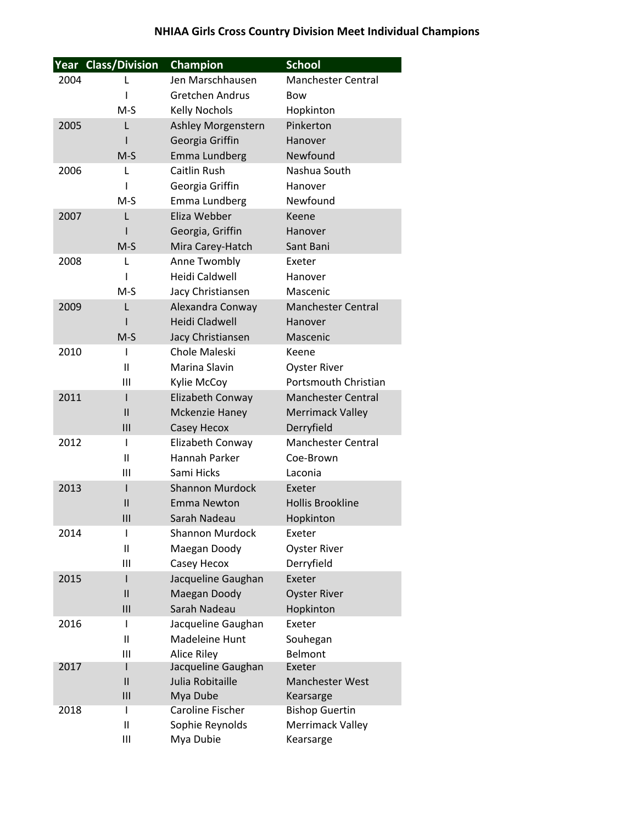|      | <b>Year Class/Division</b>    | Champion                                                            | <b>School</b>                                                       |
|------|-------------------------------|---------------------------------------------------------------------|---------------------------------------------------------------------|
| 2004 | L                             | Jen Marschhausen                                                    | <b>Manchester Central</b>                                           |
|      |                               | Gretchen Andrus                                                     | Bow                                                                 |
|      | $M-S$                         | <b>Kelly Nochols</b>                                                | Hopkinton                                                           |
| 2005 | L                             | Ashley Morgenstern                                                  | Pinkerton                                                           |
|      |                               | Georgia Griffin                                                     | Hanover                                                             |
|      | $M-S$                         | Emma Lundberg                                                       | Newfound                                                            |
| 2006 | L                             | <b>Caitlin Rush</b>                                                 | Nashua South                                                        |
|      |                               | Georgia Griffin                                                     | Hanover                                                             |
|      | $M-S$                         | Emma Lundberg                                                       | Newfound                                                            |
| 2007 | L                             | Eliza Webber                                                        | Keene                                                               |
|      |                               | Georgia, Griffin                                                    | Hanover                                                             |
|      | $M-S$                         | Mira Carey-Hatch                                                    | Sant Bani                                                           |
| 2008 | L                             | Anne Twombly                                                        | Exeter                                                              |
|      |                               | Heidi Caldwell                                                      | Hanover                                                             |
|      | $M-S$                         | Jacy Christiansen                                                   | Mascenic                                                            |
| 2009 | L                             | Alexandra Conway                                                    | Manchester Central                                                  |
|      |                               | <b>Heidi Cladwell</b>                                               | Hanover                                                             |
|      | $M-S$                         | Jacy Christiansen                                                   | Mascenic                                                            |
| 2010 | ı                             | Chole Maleski                                                       | Keene                                                               |
|      | $\mathsf{II}$                 | Marina Slavin                                                       | <b>Oyster River</b>                                                 |
|      | Ш                             | Kylie McCoy                                                         | Portsmouth Christian                                                |
| 2011 | I                             | Elizabeth Conway                                                    | <b>Manchester Central</b>                                           |
|      | $\mathbf{I}$                  | Mckenzie Haney                                                      | Merrimack Valley                                                    |
|      | III                           | Casey Hecox                                                         | Derryfield                                                          |
| 2012 | I                             | Elizabeth Conway                                                    | <b>Manchester Central</b>                                           |
|      | $\mathsf{II}$                 | Hannah Parker                                                       | Coe-Brown                                                           |
|      | Ш                             | Sami Hicks                                                          | Laconia                                                             |
| 2013 | ı                             | <b>Shannon Murdock</b>                                              | Exeter                                                              |
|      | $\mathbf{I}$                  | <b>Emma Newton</b>                                                  | <b>Hollis Brookline</b>                                             |
|      | Ш                             | Sarah Nadeau                                                        | Hopkinton                                                           |
| 2014 | ı                             | <b>Shannon Murdock</b>                                              | Exeter                                                              |
|      | Ш                             | Maegan Doody                                                        | <b>Oyster River</b>                                                 |
|      | Ш                             | Casey Hecox                                                         | Derryfield                                                          |
| 2015 | ı                             | Jacqueline Gaughan                                                  | Exeter                                                              |
|      | $\mathsf{II}$                 | Maegan Doody                                                        | <b>Oyster River</b>                                                 |
|      | $\mathsf{III}$                | Sarah Nadeau                                                        | Hopkinton                                                           |
| 2016 | I                             | Jacqueline Gaughan                                                  | Exeter                                                              |
|      | Ш                             | Madeleine Hunt                                                      | Souhegan                                                            |
|      | Ш                             | Alice Riley                                                         | Belmont                                                             |
| 2017 | I                             | Jacqueline Gaughan                                                  | Exeter                                                              |
|      | $\mathsf{II}$                 | Julia Robitaille                                                    | Manchester West                                                     |
|      |                               |                                                                     |                                                                     |
|      |                               |                                                                     |                                                                     |
|      |                               |                                                                     |                                                                     |
| 2018 | $\mathbf{III}$<br>I<br>Ш<br>Ш | Mya Dube<br><b>Caroline Fischer</b><br>Sophie Reynolds<br>Mya Dubie | Kearsarge<br><b>Bishop Guertin</b><br>Merrimack Valley<br>Kearsarge |